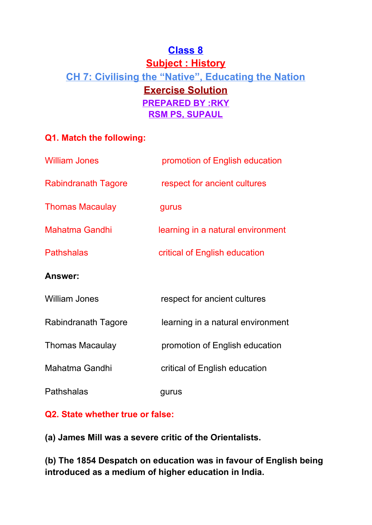# **Class 8 Subject : History CH 7: Civilising the "Native" , Educating the Nation Exercise Solution PREPARED BY :RKY RSM PS, SUPAUL**

# **Q1. Match the following:**

| <b>William Jones</b>       | promotion of English education    |
|----------------------------|-----------------------------------|
| <b>Rabindranath Tagore</b> | respect for ancient cultures      |
| <b>Thomas Macaulay</b>     | gurus                             |
| <b>Mahatma Gandhi</b>      | learning in a natural environment |
| <b>Pathshalas</b>          | critical of English education     |
| <b>Answer:</b>             |                                   |
| <b>William Jones</b>       | respect for ancient cultures      |
| Rabindranath Tagore        | learning in a natural environment |
| <b>Thomas Macaulay</b>     | promotion of English education    |
| Mahatma Gandhi             | critical of English education     |
| Pathshalas                 | gurus                             |

# **Q2. State whether true or false:**

**(a) James Mill was a severe critic of the Orientalists.**

**(b) The 1854 Despatch on education was in favour of English being introduced as a medium of higher education in India.**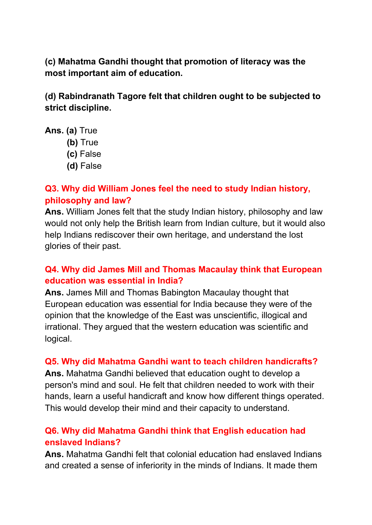**(c) Mahatma Gandhi thought that promotion of literacy was the most important aim of education.**

**(d) Rabindranath Tagore felt that children ought to be subjected to strict discipline.**

- **Ans. (a)** True
	- **(b)** True
	- **(c)** False
	- **(d)** False

### **Q3. Why did William Jones feel the need to study Indian history, philosophy and law?**

**Ans.** William Jones felt that the study Indian history, philosophy and law would not only help the British learn from Indian culture, but it would also help Indians rediscover their own heritage, and understand the lost glories of their past.

### **Q4. Why did James Mill and Thomas Macaulay think that European education was essential in India?**

**Ans.** James Mill and Thomas Babington Macaulay thought that European education was essential for India because they were of the opinion that the knowledge of the East was unscientific, illogical and irrational. They argued that the western education was scientific and logical.

#### **Q5. Why did Mahatma Gandhi want to teach children handicrafts?**

**Ans.** Mahatma Gandhi believed that education ought to develop a person's mind and soul. He felt that children needed to work with their hands, learn a useful handicraft and know how different things operated. This would develop their mind and their capacity to understand.

# **Q6. Why did Mahatma Gandhi think that English education had enslaved Indians?**

**Ans.** Mahatma Gandhi felt that colonial education had enslaved Indians and created a sense of inferiority in the minds of Indians. It made them